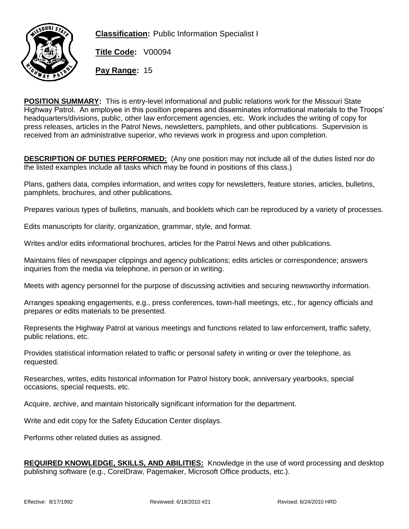

**Classification:** Public Information Specialist I

**Title Code:** V00094

**Pay Range:** 15

**POSITION SUMMARY:** This is entry-level informational and public relations work for the Missouri State Highway Patrol. An employee in this position prepares and disseminates informational materials to the Troops' headquarters/divisions, public, other law enforcement agencies, etc. Work includes the writing of copy for press releases, articles in the Patrol News, newsletters, pamphlets, and other publications. Supervision is received from an administrative superior, who reviews work in progress and upon completion.

**DESCRIPTION OF DUTIES PERFORMED:** (Any one position may not include all of the duties listed nor do the listed examples include all tasks which may be found in positions of this class.)

Plans, gathers data, compiles information, and writes copy for newsletters, feature stories, articles, bulletins, pamphlets, brochures, and other publications.

Prepares various types of bulletins, manuals, and booklets which can be reproduced by a variety of processes.

Edits manuscripts for clarity, organization, grammar, style, and format.

Writes and/or edits informational brochures, articles for the Patrol News and other publications.

Maintains files of newspaper clippings and agency publications; edits articles or correspondence; answers inquiries from the media via telephone, in person or in writing.

Meets with agency personnel for the purpose of discussing activities and securing newsworthy information.

Arranges speaking engagements, e.g., press conferences, town-hall meetings, etc., for agency officials and prepares or edits materials to be presented.

Represents the Highway Patrol at various meetings and functions related to law enforcement, traffic safety, public relations, etc.

Provides statistical information related to traffic or personal safety in writing or over the telephone, as requested.

Researches, writes, edits historical information for Patrol history book, anniversary yearbooks, special occasions, special requests, etc.

Acquire, archive, and maintain historically significant information for the department.

Write and edit copy for the Safety Education Center displays.

Performs other related duties as assigned.

**REQUIRED KNOWLEDGE, SKILLS, AND ABILITIES:** Knowledge in the use of word processing and desktop publishing software (e.g., CorelDraw, Pagemaker, Microsoft Office products, etc.).